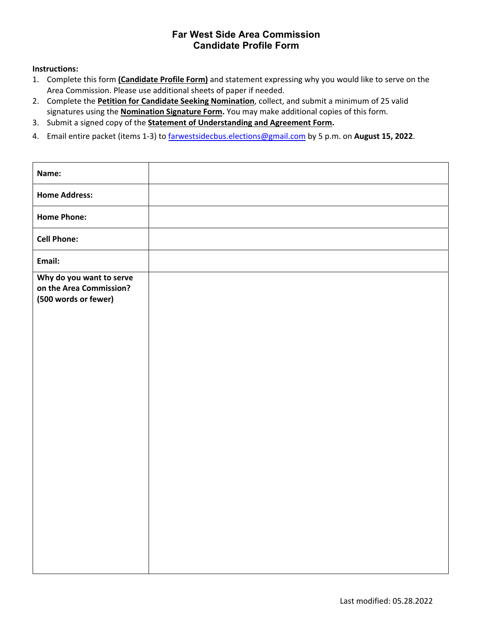### **Far West Side Area Commission Candidate Profile Form**

#### **Instructions:**

- 1. Complete this form **(Candidate Profile Form)** and statement expressing why you would like to serve on the Area Commission. Please use additional sheets of paper if needed.
- 2. Complete the **Petition for Candidate Seeking Nomination**, collect, and submit a minimum of 25 valid signatures using the **Nomination Signature Form.** You may make additional copies of this form.
- 3. Submit a signed copy of the **Statement of Understanding and Agreement Form.**
- 4. Email entire packet (items 1‐3) to farwestsidecbus.elections@gmail.com by 5 p.m. on **August 15, 2022**.

| Name:                                                                       |  |
|-----------------------------------------------------------------------------|--|
| <b>Home Address:</b>                                                        |  |
| <b>Home Phone:</b>                                                          |  |
| <b>Cell Phone:</b>                                                          |  |
| Email:                                                                      |  |
| Why do you want to serve<br>on the Area Commission?<br>(500 words or fewer) |  |
|                                                                             |  |
|                                                                             |  |
|                                                                             |  |
|                                                                             |  |
|                                                                             |  |
|                                                                             |  |
|                                                                             |  |
|                                                                             |  |
|                                                                             |  |
|                                                                             |  |
|                                                                             |  |
|                                                                             |  |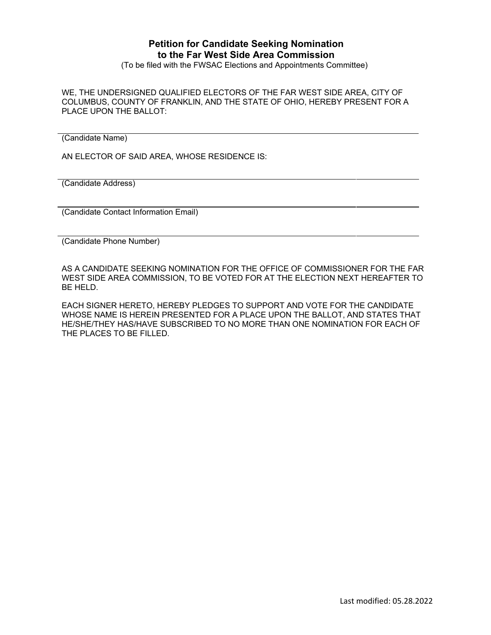## **Petition for Candidate Seeking Nomination to the Far West Side Area Commission**

(To be filed with the FWSAC Elections and Appointments Committee)

WE, THE UNDERSIGNED QUALIFIED ELECTORS OF THE FAR WEST SIDE AREA, CITY OF COLUMBUS, COUNTY OF FRANKLIN, AND THE STATE OF OHIO, HEREBY PRESENT FOR A PLACE UPON THE BALLOT:

(Candidate Name)

AN ELECTOR OF SAID AREA, WHOSE RESIDENCE IS:

(Candidate Address)

(Candidate Contact Information Email)

(Candidate Phone Number)

AS A CANDIDATE SEEKING NOMINATION FOR THE OFFICE OF COMMISSIONER FOR THE FAR WEST SIDE AREA COMMISSION, TO BE VOTED FOR AT THE ELECTION NEXT HEREAFTER TO BE HELD.

EACH SIGNER HERETO, HEREBY PLEDGES TO SUPPORT AND VOTE FOR THE CANDIDATE WHOSE NAME IS HEREIN PRESENTED FOR A PLACE UPON THE BALLOT, AND STATES THAT HE/SHE/THEY HAS/HAVE SUBSCRIBED TO NO MORE THAN ONE NOMINATION FOR EACH OF THE PLACES TO BE FILLED.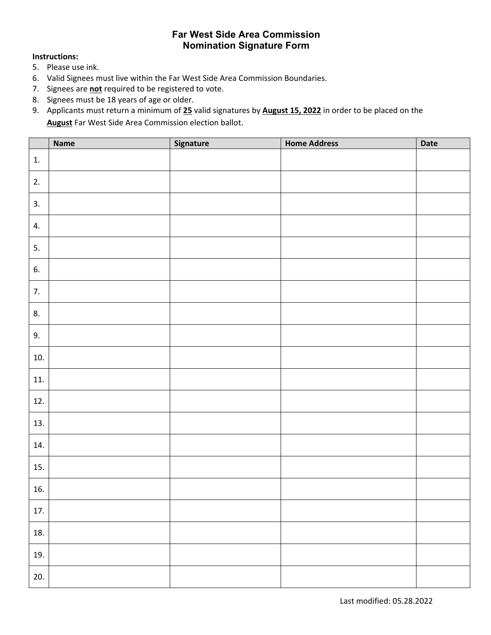## **Far West Side Area Commission Nomination Signature Form**

#### **Instructions:**

- 5. Please use ink.
- 6. Valid Signees must live within the Far West Side Area Commission Boundaries.
- 7. Signees are **not** required to be registered to vote.
- 8. Signees must be 18 years of age or older.
- 9. Applicants must return a minimum of **25** valid signatures by **August 15, 2022** in order to be placed on the **August** Far West Side Area Commission election ballot.

|     | <b>Name</b> | Signature | <b>Home Address</b> | Date |
|-----|-------------|-----------|---------------------|------|
| 1.  |             |           |                     |      |
| 2.  |             |           |                     |      |
| 3.  |             |           |                     |      |
| 4.  |             |           |                     |      |
| 5.  |             |           |                     |      |
| 6.  |             |           |                     |      |
| 7.  |             |           |                     |      |
| 8.  |             |           |                     |      |
| 9.  |             |           |                     |      |
| 10. |             |           |                     |      |
| 11. |             |           |                     |      |
| 12. |             |           |                     |      |
| 13. |             |           |                     |      |
| 14. |             |           |                     |      |
| 15. |             |           |                     |      |
| 16. |             |           |                     |      |
| 17. |             |           |                     |      |
| 18. |             |           |                     |      |
| 19. |             |           |                     |      |
| 20. |             |           |                     |      |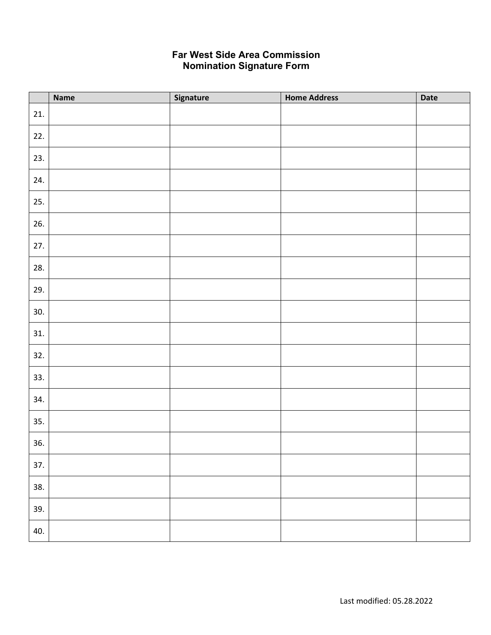# **Far West Side Area Commission Nomination Signature Form**

|     | <b>Name</b> | Signature | <b>Home Address</b> | Date |
|-----|-------------|-----------|---------------------|------|
| 21. |             |           |                     |      |
| 22. |             |           |                     |      |
| 23. |             |           |                     |      |
| 24. |             |           |                     |      |
| 25. |             |           |                     |      |
| 26. |             |           |                     |      |
| 27. |             |           |                     |      |
| 28. |             |           |                     |      |
| 29. |             |           |                     |      |
| 30. |             |           |                     |      |
| 31. |             |           |                     |      |
| 32. |             |           |                     |      |
| 33. |             |           |                     |      |
| 34. |             |           |                     |      |
| 35. |             |           |                     |      |
| 36. |             |           |                     |      |
| 37. |             |           |                     |      |
| 38. |             |           |                     |      |
| 39. |             |           |                     |      |
| 40. |             |           |                     |      |